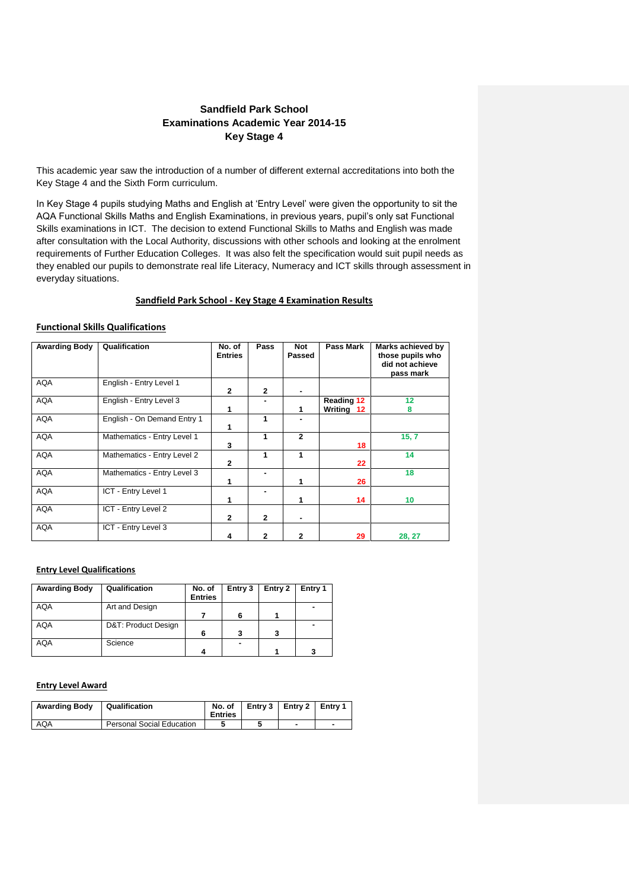# **Sandfield Park School Examinations Academic Year 2014-15 Key Stage 4**

This academic year saw the introduction of a number of different external accreditations into both the Key Stage 4 and the Sixth Form curriculum.

In Key Stage 4 pupils studying Maths and English at 'Entry Level' were given the opportunity to sit the AQA Functional Skills Maths and English Examinations, in previous years, pupil's only sat Functional Skills examinations in ICT. The decision to extend Functional Skills to Maths and English was made after consultation with the Local Authority, discussions with other schools and looking at the enrolment requirements of Further Education Colleges. It was also felt the specification would suit pupil needs as they enabled our pupils to demonstrate real life Literacy, Numeracy and ICT skills through assessment in everyday situations.

### **Sandfield Park School - Key Stage 4 Examination Results**

### **Functional Skills Qualifications**

| <b>Awarding Body</b> | Qualification               | No. of<br><b>Entries</b> | Pass           | <b>Not</b><br>Passed | Pass Mark                       | Marks achieved by<br>those pupils who<br>did not achieve<br>pass mark |
|----------------------|-----------------------------|--------------------------|----------------|----------------------|---------------------------------|-----------------------------------------------------------------------|
| <b>AQA</b>           | English - Entry Level 1     | $\overline{2}$           | $\overline{2}$ |                      |                                 |                                                                       |
| <b>AQA</b>           | English - Entry Level 3     |                          |                |                      | <b>Reading 12</b><br>Writing 12 | 12<br>8                                                               |
| <b>AQA</b>           | English - On Demand Entry 1 |                          | 1              |                      |                                 |                                                                       |
| <b>AQA</b>           | Mathematics - Entry Level 1 | 3                        | 1              | $\mathbf{2}$         | 18                              | 15, 7                                                                 |
| <b>AQA</b>           | Mathematics - Entry Level 2 | $\overline{2}$           | 1              | 1                    | 22                              | 14                                                                    |
| <b>AQA</b>           | Mathematics - Entry Level 3 |                          |                |                      | 26                              | 18                                                                    |
| <b>AQA</b>           | ICT - Entry Level 1         | 1                        |                | 1                    | 14                              | 10                                                                    |
| <b>AQA</b>           | ICT - Entry Level 2         | $\overline{2}$           | $\mathbf{2}$   |                      |                                 |                                                                       |
| <b>AQA</b>           | ICT - Entry Level 3         | 4                        | $\overline{2}$ | 2                    | 29                              | 28, 27                                                                |

### **Entry Level Qualifications**

| <b>Awarding Body</b> | Qualification       | No. of<br><b>Entries</b> | Entry 3 | Entry 2 | Entry 1 |
|----------------------|---------------------|--------------------------|---------|---------|---------|
| <b>AQA</b>           | Art and Design      |                          |         |         |         |
|                      |                     |                          |         |         |         |
| <b>AQA</b>           | D&T: Product Design |                          |         |         |         |
|                      |                     | 6                        |         | 3       |         |
| AQA                  | Science             |                          |         |         |         |
|                      |                     |                          |         |         | 2       |

#### **Entry Level Award**

| <b>Awarding Body</b> | Qualification                    | No. of<br><b>Entries</b> | Entry 3   Entry 2   Entry 1 |  |
|----------------------|----------------------------------|--------------------------|-----------------------------|--|
| AQA                  | <b>Personal Social Education</b> |                          |                             |  |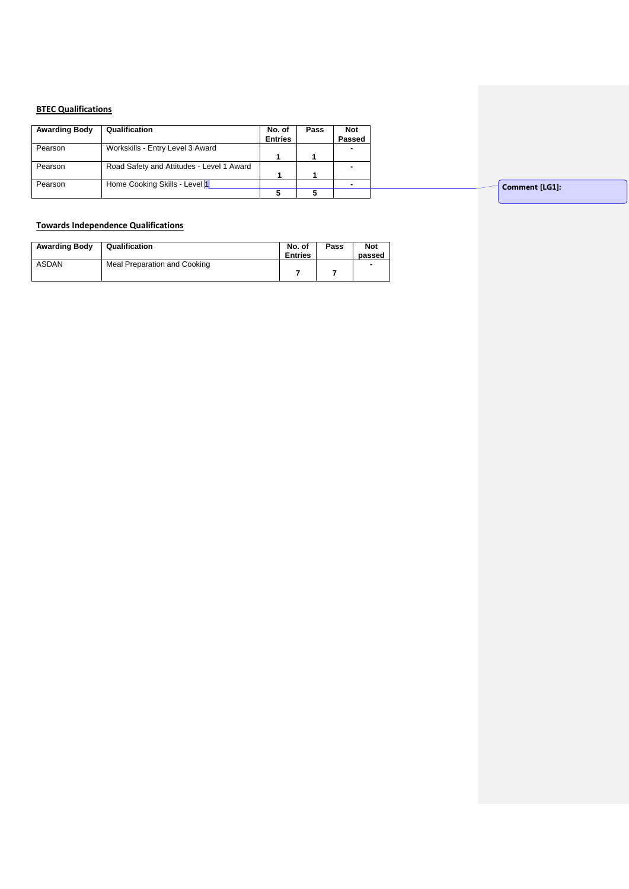### **BTEC Qualifications**

| <b>Awarding Body</b> | Qualification                             | No. of<br><b>Entries</b> | Pass | Not<br>Passed |
|----------------------|-------------------------------------------|--------------------------|------|---------------|
| Pearson              | Workskills - Entry Level 3 Award          |                          |      |               |
|                      |                                           |                          |      |               |
| Pearson              | Road Safety and Attitudes - Level 1 Award |                          |      |               |
|                      |                                           |                          |      |               |
| Pearson              | Home Cooking Skills - Level 1             |                          |      |               |
|                      |                                           |                          |      |               |

**Comment [LG1]:** 

## **Towards Independence Qualifications**

| <b>Awarding Body</b> | Qualification                | No. of<br><b>Entries</b> | Pass | <b>Not</b><br>passed |
|----------------------|------------------------------|--------------------------|------|----------------------|
| <b>ASDAN</b>         | Meal Preparation and Cooking |                          |      |                      |